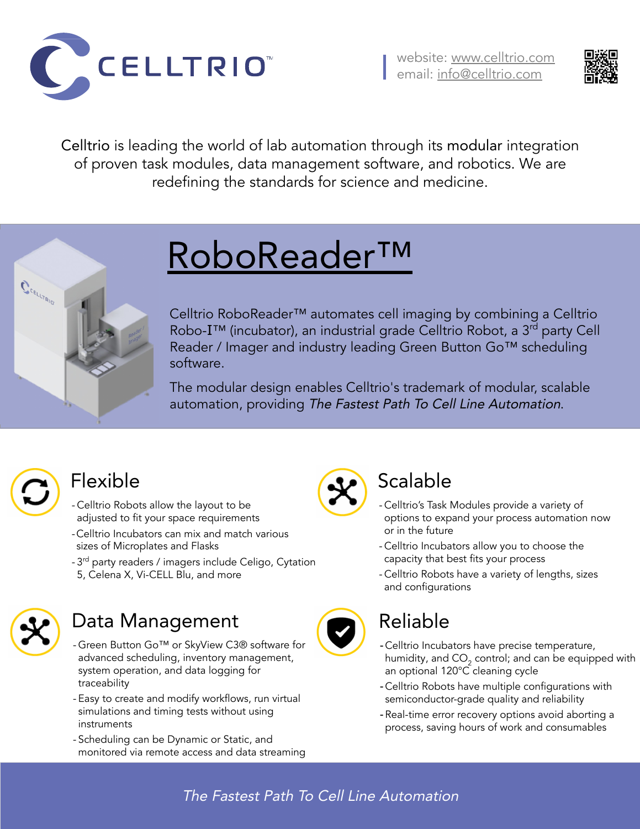## Data Management

- Green Button Go™ or SkyView C3® software for advanced scheduling, inventory management, system operation, and data logging for traceability
- Easy to create and modify workflows, run virtual simulations and timing tests without using instruments
- Scheduling can be Dynamic or Static, and monitored via remote access and data streaming



#### Scalable

- Celltrio's Task Modules provide a variety of options to expand your process automation now or in the future
- Celltrio Incubators allow you to choose the capacity that best fits your process
- Celltrio Robots have a variety of lengths, sizes and configurations



#### The Fastest Path To Cell Line Automation





### Reliable

- Celltrio Incubators have precise temperature, humidity, and  $\mathsf{CO}_2$  control; and can be equipped with an optional 120°C cleaning cycle
- Celltrio Robots have multiple configurations with semiconductor-grade quality and reliability
- Real-time error recovery options avoid aborting a process, saving hours of work and consumables

#### Flexible

- Celltrio Robots allow the layout to be adjusted to fit your space requirements
- -Celltrio Incubators can mix and match various sizes of Microplates and Flasks
- 3<sup>rd</sup> party readers / imagers include Celigo, Cytation
- 5, Celena X, Vi-CELL Blu, and more



# RoboReader™

Celltrio RoboReader™ automates cell imaging by combining a Celltrio Robo-I<sup>™</sup> (incubator), an industrial grade Celltrio Robot, a 3<sup>rd</sup> party Cell Reader / Imager and industry leading Green Button Go™ scheduling software.

The modular design enables Celltrio's trademark of modular, scalable automation, providing The Fastest Path To Cell Line Automation.



 $\hat{\bm{C}}^{\epsilon_{\epsilon_{\ell}} \epsilon_{\nu_{\ell}} \epsilon_{\nu_{\ell}}}$ 





Celltrio is leading the world of lab automation through its modular integration of proven task modules, data management software, and robotics. We are redefining the standards for science and medicine.